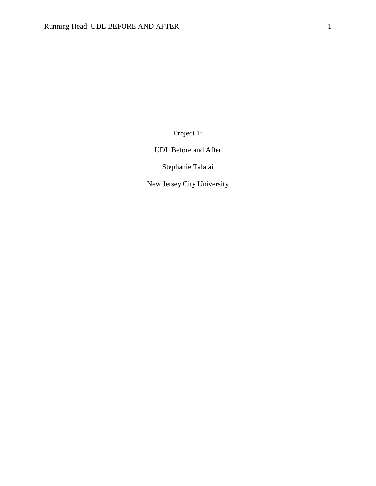Project 1:

UDL Before and After

Stephanie Talalai

New Jersey City University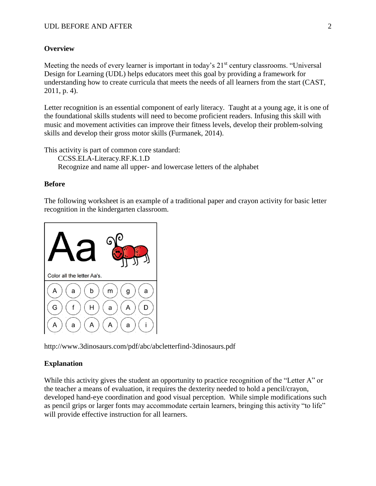# **Overview**

Meeting the needs of every learner is important in today's 21<sup>st</sup> century classrooms. "Universal Design for Learning (UDL) helps educators meet this goal by providing a framework for understanding how to create curricula that meets the needs of all learners from the start (CAST, 2011, p. 4).

Letter recognition is an essential component of early literacy. Taught at a young age, it is one of the foundational skills students will need to become proficient readers. Infusing this skill with music and movement activities can improve their fitness levels, develop their problem-solving skills and develop their gross motor skills (Furmanek, 2014).

This activity is part of common core standard:

CCSS.ELA-Literacy.RF.K.1.D Recognize and name all upper- and lowercase letters of the alphabet

## **Before**

The following worksheet is an example of a traditional paper and crayon activity for basic letter recognition in the kindergarten classroom.



http://www.3dinosaurs.com/pdf/abc/abcletterfind-3dinosaurs.pdf

## **Explanation**

While this activity gives the student an opportunity to practice recognition of the "Letter A" or the teacher a means of evaluation, it requires the dexterity needed to hold a pencil/crayon, developed hand-eye coordination and good visual perception. While simple modifications such as pencil grips or larger fonts may accommodate certain learners, bringing this activity "to life" will provide effective instruction for all learners.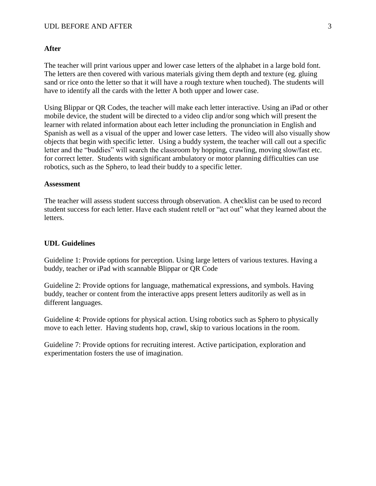### **After**

The teacher will print various upper and lower case letters of the alphabet in a large bold font. The letters are then covered with various materials giving them depth and texture (eg. gluing sand or rice onto the letter so that it will have a rough texture when touched). The students will have to identify all the cards with the letter A both upper and lower case.

Using Blippar or QR Codes, the teacher will make each letter interactive. Using an iPad or other mobile device, the student will be directed to a video clip and/or song which will present the learner with related information about each letter including the pronunciation in English and Spanish as well as a visual of the upper and lower case letters. The video will also visually show objects that begin with specific letter. Using a buddy system, the teacher will call out a specific letter and the "buddies" will search the classroom by hopping, crawling, moving slow/fast etc. for correct letter. Students with significant ambulatory or motor planning difficulties can use robotics, such as the Sphero, to lead their buddy to a specific letter.

#### **Assessment**

The teacher will assess student success through observation. A checklist can be used to record student success for each letter. Have each student retell or "act out" what they learned about the letters.

### **UDL Guidelines**

Guideline 1: Provide options for perception. Using large letters of various textures. Having a buddy, teacher or iPad with scannable Blippar or QR Code

Guideline 2: Provide options for language, mathematical expressions, and symbols. Having buddy, teacher or content from the interactive apps present letters auditorily as well as in different languages.

Guideline 4: Provide options for physical action. Using robotics such as Sphero to physically move to each letter. Having students hop, crawl, skip to various locations in the room.

Guideline 7: Provide options for recruiting interest. Active participation, exploration and experimentation fosters the use of imagination.